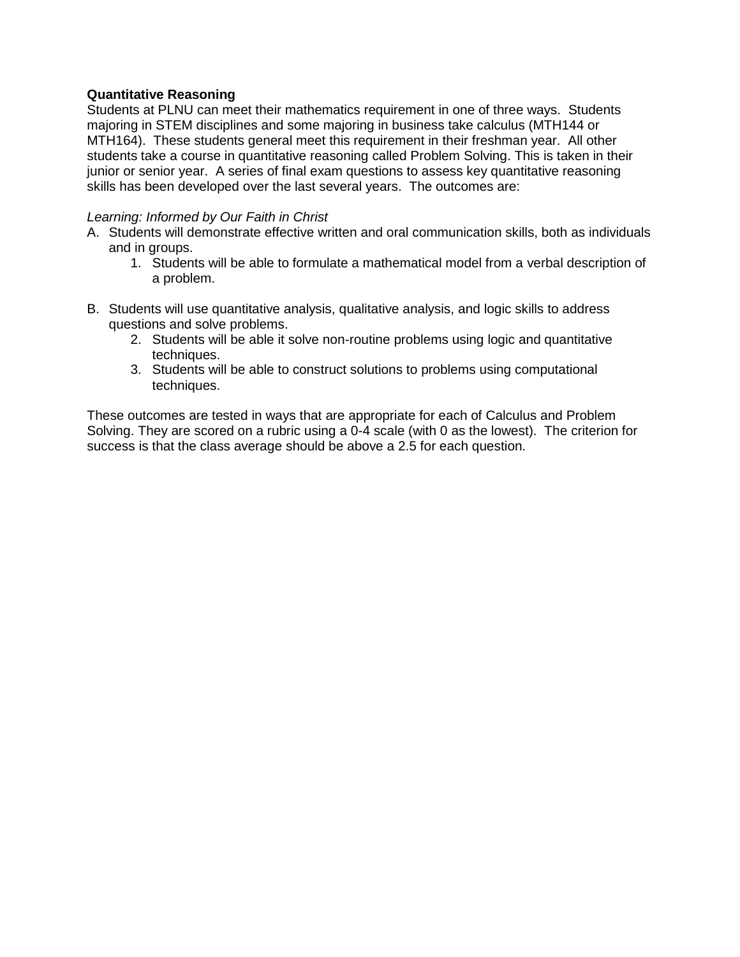## **Quantitative Reasoning**

Students at PLNU can meet their mathematics requirement in one of three ways. Students majoring in STEM disciplines and some majoring in business take calculus (MTH144 or MTH164). These students general meet this requirement in their freshman year. All other students take a course in quantitative reasoning called Problem Solving. This is taken in their junior or senior year. A series of final exam questions to assess key quantitative reasoning skills has been developed over the last several years. The outcomes are:

## *Learning: Informed by Our Faith in Christ*

- A. Students will demonstrate effective written and oral communication skills, both as individuals and in groups.
	- 1. Students will be able to formulate a mathematical model from a verbal description of a problem.
- B. Students will use quantitative analysis, qualitative analysis, and logic skills to address questions and solve problems.
	- 2. Students will be able it solve non-routine problems using logic and quantitative techniques.
	- 3. Students will be able to construct solutions to problems using computational techniques.

These outcomes are tested in ways that are appropriate for each of Calculus and Problem Solving. They are scored on a rubric using a 0-4 scale (with 0 as the lowest). The criterion for success is that the class average should be above a 2.5 for each question.